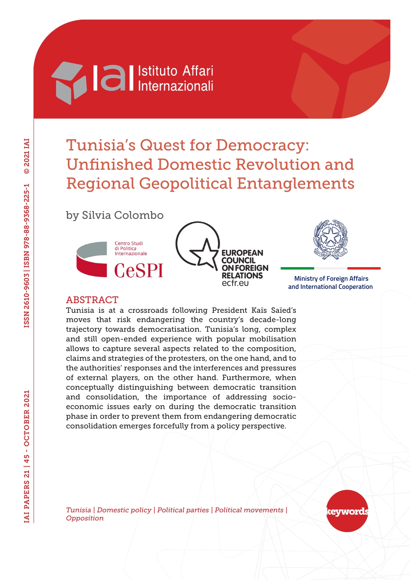# **Machia Al Istituto Affari**

# Tunisia's Quest for Democracy: Unfinished Domestic Revolution and Regional Geopolitical Entanglements

## by Silvia Colombo







 **Ministry of Foreign Affairs and International Cooperation**

## ABSTRACT

Tunisia is at a crossroads following President Kaïs Saïed's moves that risk endangering the country's decade-long trajectory towards democratisation. Tunisia's long, complex and still open-ended experience with popular mobilisation allows to capture several aspects related to the composition, claims and strategies of the protesters, on the one hand, and to the authorities' responses and the interferences and pressures of external players, on the other hand. Furthermore, when conceptually distinguishing between democratic transition and consolidation, the importance of addressing socioeconomic issues early on during the democratic transition phase in order to prevent them from endangering democratic consolidation emerges forcefully from a policy perspective.

*Tunisia | Domestic policy | Political parties | Political movements | Opposition*

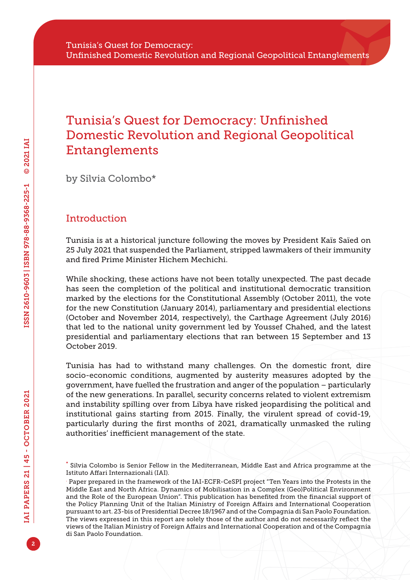## Tunisia's Quest for Democracy: Unfinished Domestic Revolution and Regional Geopolitical Entanglements

by Silvia Colombo\*

## Introduction

Tunisia is at a historical juncture following the moves by President Kaïs Saïed on 25 July 2021 that suspended the Parliament, stripped lawmakers of their immunity and fired Prime Minister Hichem Mechichi.

While shocking, these actions have not been totally unexpected. The past decade has seen the completion of the political and institutional democratic transition marked by the elections for the Constitutional Assembly (October 2011), the vote for the new Constitution (January 2014), parliamentary and presidential elections (October and November 2014, respectively), the Carthage Agreement (July 2016) that led to the national unity government led by Youssef Chahed, and the latest presidential and parliamentary elections that ran between 15 September and 13 October 2019.

Tunisia has had to withstand many challenges. On the domestic front, dire socio-economic conditions, augmented by austerity measures adopted by the government, have fuelled the frustration and anger of the population – particularly of the new generations. In parallel, security concerns related to violent extremism and instability spilling over from Libya have risked jeopardising the political and institutional gains starting from 2015. Finally, the virulent spread of covid-19, particularly during the first months of 2021, dramatically unmasked the ruling authorities' inefficient management of the state.

<sup>\*</sup> Silvia Colombo is Senior Fellow in the Mediterranean, Middle East and Africa programme at the Istituto Affari Internazionali (IAI).

<sup>.</sup> Paper prepared in the framework of the IAI-ECFR-CeSPI project "Ten Years into the Protests in the Middle East and North Africa. Dynamics of Mobilisation in a Complex (Geo)Political Environment and the Role of the European Union". This publication has benefited from the financial support of the Policy Planning Unit of the Italian Ministry of Foreign Affairs and International Cooperation pursuant to art. 23-bis of Presidential Decree 18/1967 and of the Compagnia di San Paolo Foundation. The views expressed in this report are solely those of the author and do not necessarily reflect the views of the Italian Ministry of Foreign Affairs and International Cooperation and of the Compagnia di San Paolo Foundation.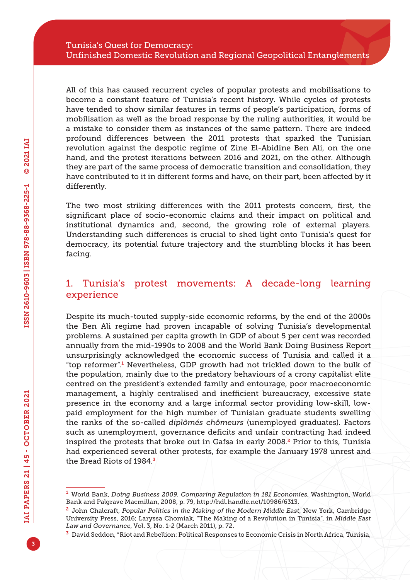All of this has caused recurrent cycles of popular protests and mobilisations to become a constant feature of Tunisia's recent history. While cycles of protests have tended to show similar features in terms of people's participation, forms of mobilisation as well as the broad response by the ruling authorities, it would be a mistake to consider them as instances of the same pattern. There are indeed profound differences between the 2011 protests that sparked the Tunisian revolution against the despotic regime of Zine El-Abidine Ben Ali, on the one hand, and the protest iterations between 2016 and 2021, on the other. Although they are part of the same process of democratic transition and consolidation, they have contributed to it in different forms and have, on their part, been affected by it differently.

The two most striking differences with the 2011 protests concern, first, the significant place of socio-economic claims and their impact on political and institutional dynamics and, second, the growing role of external players. Understanding such differences is crucial to shed light onto Tunisia's quest for democracy, its potential future trajectory and the stumbling blocks it has been facing.

## 1. Tunisia's protest movements: A decade-long learning experience

Despite its much-touted supply-side economic reforms, by the end of the 2000s the Ben Ali regime had proven incapable of solving Tunisia's developmental problems. A sustained per capita growth in GDP of about 5 per cent was recorded annually from the mid-1990s to 2008 and the World Bank Doing Business Report unsurprisingly acknowledged the economic success of Tunisia and called it a "top reformer".<sup>1</sup> Nevertheless, GDP growth had not trickled down to the bulk of the population, mainly due to the predatory behaviours of a crony capitalist elite centred on the president's extended family and entourage, poor macroeconomic management, a highly centralised and inefficient bureaucracy, excessive state presence in the economy and a large informal sector providing low-skill, lowpaid employment for the high number of Tunisian graduate students swelling the ranks of the so-called *diplômés chômeurs* (unemployed graduates). Factors such as unemployment, governance deficits and unfair contracting had indeed inspired the protests that broke out in Gafsa in early 2008.2 Prior to this, Tunisia had experienced several other protests, for example the January 1978 unrest and the Bread Riots of 1984.<sup>3</sup>

<sup>1</sup> World Bank, *Doing Business 2009. Comparing Regulation in 181 Economies*, Washington, World Bank and Palgrave Macmillan, 2008, p. 79, <http://hdl.handle.net/10986/6313>.

<sup>2</sup> John Chalcraft, *Popular Politics in the Making of the Modern Middle East*, New York, Cambridge University Press, 2016; Laryssa Chomiak, "The Making of a Revolution in Tunisia", in *Middle East Law and Governance*, Vol. 3, No. 1-2 (March 2011), p. 72.

<sup>3</sup> David Seddon, "Riot and Rebellion: Political Responses to Economic Crisis in North Africa, Tunisia,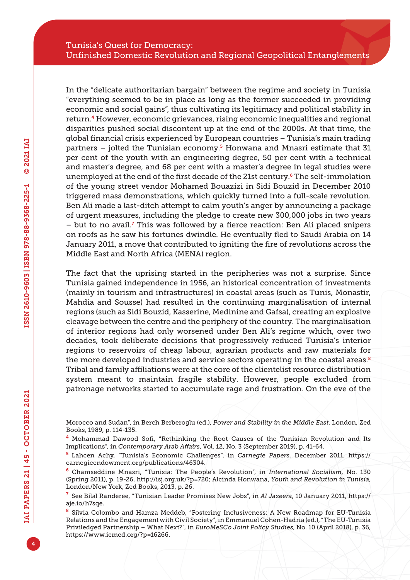In the "delicate authoritarian bargain" between the regime and society in Tunisia "everything seemed to be in place as long as the former succeeded in providing economic and social gains", thus cultivating its legitimacy and political stability in return.4 However, economic grievances, rising economic inequalities and regional disparities pushed social discontent up at the end of the 2000s. At that time, the global financial crisis experienced by European countries – Tunisia's main trading partners – jolted the Tunisian economy.<sup>5</sup> Honwana and Mnasri estimate that 31 per cent of the youth with an engineering degree, 50 per cent with a technical and master's degree, and 68 per cent with a master's degree in legal studies were unemployed at the end of the first decade of the 21st century.6 The self-immolation of the young street vendor Mohamed Bouazizi in Sidi Bouzid in December 2010 triggered mass demonstrations, which quickly turned into a full-scale revolution. Ben Ali made a last-ditch attempt to calm youth's anger by announcing a package of urgent measures, including the pledge to create new 300,000 jobs in two years – but to no avail.<sup>7</sup> This was followed by a fierce reaction: Ben Ali placed snipers on roofs as he saw his fortunes dwindle. He eventually fled to Saudi Arabia on 14 January 2011, a move that contributed to igniting the fire of revolutions across the Middle East and North Africa (MENA) region.

The fact that the uprising started in the peripheries was not a surprise. Since Tunisia gained independence in 1956, an historical concentration of investments (mainly in tourism and infrastructures) in coastal areas (such as Tunis, Monastir, Mahdia and Sousse) had resulted in the continuing marginalisation of internal regions (such as Sidi Bouzid, Kasserine, Medinine and Gafsa), creating an explosive cleavage between the centre and the periphery of the country. The marginalisation of interior regions had only worsened under Ben Ali's regime which, over two decades, took deliberate decisions that progressively reduced Tunisia's interior regions to reservoirs of cheap labour, agrarian products and raw materials for the more developed industries and service sectors operating in the coastal areas. $8$ Tribal and family affiliations were at the core of the clientelist resource distribution system meant to maintain fragile stability. However, people excluded from patronage networks started to accumulate rage and frustration. On the eve of the

Morocco and Sudan", in Berch Berberoglu (ed.), *Power and Stability in the Middle East*, London, Zed Books, 1989, p. 114-135.

<sup>4</sup> Mohammad Dawood Sofi, "Rethinking the Root Causes of the Tunisian Revolution and Its Implications", in *Contemporary Arab Affairs*, Vol. 12, No. 3 (September 2019), p. 41-64.

<sup>5</sup> Lahcen Achy, "Tunisia's Economic Challenges", in *Carnegie Papers*, December 2011, [https://](https://carnegieendowment.org/publications/46304) [carnegieendowment.org/publications/46304](https://carnegieendowment.org/publications/46304).

<sup>6</sup> Chamseddine Mnasri, "Tunisia: The People's Revolution", in *International Socialism*, No. 130 (Spring 2011), p. 19-26, <http://isj.org.uk/?p=720>; Alcinda Honwana, *Youth and Revolution in Tunisia*, London/New York, Zed Books, 2013, p. 26.

<sup>7</sup> See Bilal Randeree, "Tunisian Leader Promises New Jobs", in *Al Jazeera*, 10 January 2011, [https://](https://aje.io/h7sqe) [aje.io/h7sqe](https://aje.io/h7sqe).

<sup>8</sup> Silvia Colombo and Hamza Meddeb, "Fostering Inclusiveness: A New Roadmap for EU-Tunisia Relations and the Engagement with Civil Society", in Emmanuel Cohen-Hadria (ed.), "The EU-Tunisia Priviledged Partnership – What Next?", in *EuroMeSCo Joint Policy Studies*, No. 10 (April 2018), p. 36, [https://www.iemed.org/?p=16266.](https://www.iemed.org/?p=16266)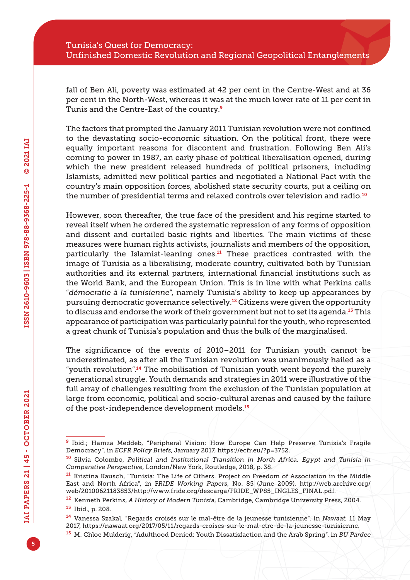fall of Ben Ali, poverty was estimated at 42 per cent in the Centre-West and at 36 per cent in the North-West, whereas it was at the much lower rate of 11 per cent in Tunis and the Centre-East of the country.<sup>9</sup>

The factors that prompted the January 2011 Tunisian revolution were not confined to the devastating socio-economic situation. On the political front, there were equally important reasons for discontent and frustration. Following Ben Ali's coming to power in 1987, an early phase of political liberalisation opened, during which the new president released hundreds of political prisoners, including Islamists, admitted new political parties and negotiated a National Pact with the country's main opposition forces, abolished state security courts, put a ceiling on the number of presidential terms and relaxed controls over television and radio.<sup>10</sup>

However, soon thereafter, the true face of the president and his regime started to reveal itself when he ordered the systematic repression of any forms of opposition and dissent and curtailed basic rights and liberties. The main victims of these measures were human rights activists, journalists and members of the opposition, particularly the Islamist-leaning ones.<sup>11</sup> These practices contrasted with the image of Tunisia as a liberalising, moderate country, cultivated both by Tunisian authorities and its external partners, international financial institutions such as the World Bank, and the European Union. This is in line with what Perkins calls "*démocratie à la tunisienne*", namely Tunisia's ability to keep up appearances by pursuing democratic governance selectively.12 Citizens were given the opportunity to discuss and endorse the work of their government but not to set its agenda.<sup>13</sup> This appearance of participation was particularly painful for the youth, who represented a great chunk of Tunisia's population and thus the bulk of the marginalised.

The significance of the events of 2010–2011 for Tunisian youth cannot be underestimated, as after all the Tunisian revolution was unanimously hailed as a "youth revolution".14 The mobilisation of Tunisian youth went beyond the purely generational struggle. Youth demands and strategies in 2011 were illustrative of the full array of challenges resulting from the exclusion of the Tunisian population at large from economic, political and socio-cultural arenas and caused by the failure of the post-independence development models.<sup>15</sup>

<sup>9</sup> Ibid.; Hamza Meddeb, "Peripheral Vision: How Europe Can Help Preserve Tunisia's Fragile Democracy", in *ECFR Policy Briefs*, January 2017, [https://ecfr.eu/?p=3752.](https://ecfr.eu/?p=3752)

<sup>10</sup> Silvia Colombo, *Political and Institutional Transition in North Africa. Egypt and Tunisia in Comparative Perspective*, London/New York, Routledge, 2018, p. 38.

<sup>&</sup>lt;sup>11</sup> Kristina Kausch, "Tunisia: The Life of Others. Project on Freedom of Association in the Middle East and North Africa", in F*RIDE Working Papers*, No. 85 (June 2009), [http://web.archive.org/](http://web.archive.org/web/20100621183853/http://www.fride.org/descarga/FRIDE_WP85_INGLES_FINAL.pdf) [web/20100621183853/http://www.fride.org/descarga/FRIDE\\_WP85\\_INGLES\\_FINAL.pdf.](http://web.archive.org/web/20100621183853/http://www.fride.org/descarga/FRIDE_WP85_INGLES_FINAL.pdf)

<sup>12</sup> Kenneth Perkins, *A History of Modern Tunisia*, Cambridge, Cambridge University Press, 2004.

<sup>13</sup> Ibid., p. 208.

<sup>14</sup> Vanessa Szakal, "Regards croisés sur le mal-être de la jeunesse tunisienne", in *Nawaat*, 11 May 2017, [https://nawaat.org/2017/05/11/regards-croises-sur-le-mal-etre-de-la-jeunesse-tunisienne.](https://nawaat.org/2017/05/11/regards-croises-sur-le-mal-etre-de-la-jeunesse-tunisienne)

<sup>15</sup> M. Chloe Mulderig, "Adulthood Denied: Youth Dissatisfaction and the Arab Spring", in *BU Pardee*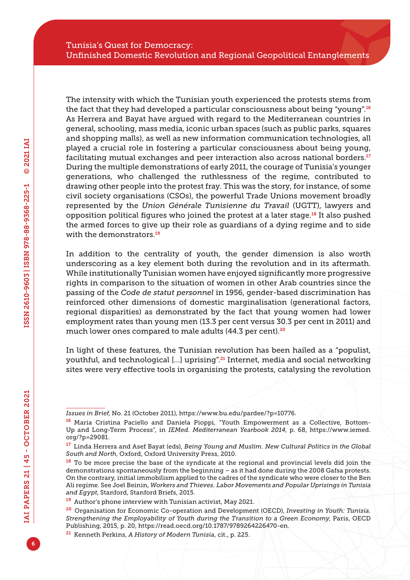The intensity with which the Tunisian youth experienced the protests stems from the fact that they had developed a particular consciousness about being "young".<sup>16</sup> As Herrera and Bayat have argued with regard to the Mediterranean countries in general, schooling, mass media, iconic urban spaces (such as public parks, squares and shopping malls), as well as new information communication technologies, all played a crucial role in fostering a particular consciousness about being young, facilitating mutual exchanges and peer interaction also across national borders.<sup>17</sup> During the multiple demonstrations of early 2011, the courage of Tunisia's younger generations, who challenged the ruthlessness of the regime, contributed to drawing other people into the protest fray. This was the story, for instance, of some civil society organisations (CSOs), the powerful Trade Unions movement broadly represented by the *Union Générale Tunisienne du Travail* (UGTT), lawyers and opposition political figures who joined the protest at a later stage.<sup>18</sup> It also pushed the armed forces to give up their role as guardians of a dying regime and to side with the demonstrators.<sup>19</sup>

In addition to the centrality of youth, the gender dimension is also worth underscoring as a key element both during the revolution and in its aftermath. While institutionally Tunisian women have enjoyed significantly more progressive rights in comparison to the situation of women in other Arab countries since the passing of the *Code de statut personnel* in 1956, gender-based discrimination has reinforced other dimensions of domestic marginalisation (generational factors, regional disparities) as demonstrated by the fact that young women had lower employment rates than young men (13.3 per cent versus 30.3 per cent in 2011) and much lower ones compared to male adults (44.3 per cent).<sup>20</sup>

In light of these features, the Tunisian revolution has been hailed as a "populist, youthful, and technological […] uprising".21 Internet, media and social networking sites were very effective tools in organising the protests, catalysing the revolution

*Issues in Brief*, No. 21 (October 2011), [https://www.bu.edu/pardee/?p=10776.](https://www.bu.edu/pardee/?p=10776)

<sup>16</sup> Maria Cristina Paciello and Daniela Pioppi, "Youth Empowerment as a Collective, Bottom-Up and Long-Term Process", in *IEMed. Mediterranean Yearbook 2014*, p. 68, [https://www.iemed.](https://www.iemed.org/?p=29081) [org/?p=29081.](https://www.iemed.org/?p=29081)

<sup>17</sup> Linda Herrera and Asef Bayat (eds), *Being Young and Muslim. New Cultural Politics in the Global South and North*, Oxford, Oxford University Press, 2010.

<sup>&</sup>lt;sup>18</sup> To be more precise the base of the syndicate at the regional and provincial levels did join the demonstrations spontaneously from the beginning – as it had done during the 2008 Gafsa protests. On the contrary, initial immobilism applied to the cadres of the syndicate who were closer to the Ben Ali regime. See Joel Beinin, *Workers and Thieves. Labor Movements and Popular Uprisings in Tunisia and Egypt*, Stanford, Stanford Briefs, 2015.

<sup>19</sup> Author's phone interview with Tunisian activist, May 2021.

<sup>20</sup> Organisation for Economic Co-operation and Development (OECD), *Investing in Youth: Tunisia. Strengthening the Employability of Youth during the Transition to a Green Economy*, Paris, OECD Publishing, 2015, p. 20, [https://read.oecd.org/10.1787/9789264226470](https://read.oecd.org/10.1787/9789264226470-en)-en.

<sup>21</sup> Kenneth Perkins, *A History of Modern Tunisia*, cit., p. 225.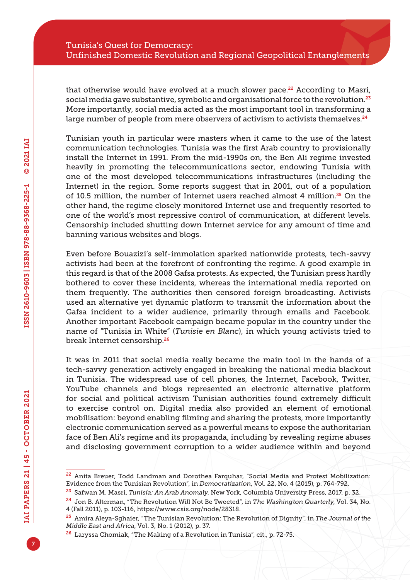that otherwise would have evolved at a much slower pace.<sup>22</sup> According to Masri, social media gave substantive, symbolic and organisational force to the revolution.<sup>23</sup> More importantly, social media acted as the most important tool in transforming a large number of people from mere observers of activism to activists themselves.<sup>24</sup>

Tunisian youth in particular were masters when it came to the use of the latest communication technologies. Tunisia was the first Arab country to provisionally install the Internet in 1991. From the mid-1990s on, the Ben Ali regime invested heavily in promoting the telecommunications sector, endowing Tunisia with one of the most developed telecommunications infrastructures (including the Internet) in the region. Some reports suggest that in 2001, out of a population of 10.5 million, the number of Internet users reached almost 4 million.<sup>25</sup> On the other hand, the regime closely monitored Internet use and frequently resorted to one of the world's most repressive control of communication, at different levels. Censorship included shutting down Internet service for any amount of time and banning various websites and blogs.

Even before Bouazizi's self-immolation sparked nationwide protests, tech-savvy activists had been at the forefront of confronting the regime. A good example in this regard is that of the 2008 Gafsa protests. As expected, the Tunisian press hardly bothered to cover these incidents, whereas the international media reported on them frequently. The authorities then censored foreign broadcasting. Activists used an alternative yet dynamic platform to transmit the information about the Gafsa incident to a wider audience, primarily through emails and Facebook. Another important Facebook campaign became popular in the country under the name of "Tunisia in White" (*Tunisie en Blanc*), in which young activists tried to break Internet censorship.<sup>26</sup>

It was in 2011 that social media really became the main tool in the hands of a tech-savvy generation actively engaged in breaking the national media blackout in Tunisia. The widespread use of cell phones, the Internet, Facebook, Twitter, YouTube channels and blogs represented an electronic alternative platform for social and political activism Tunisian authorities found extremely difficult to exercise control on. Digital media also provided an element of emotional mobilisation: beyond enabling filming and sharing the protests, more importantly electronic communication served as a powerful means to expose the authoritarian face of Ben Ali's regime and its propaganda, including by revealing regime abuses and disclosing government corruption to a wider audience within and beyond

<sup>&</sup>lt;sup>22</sup> Anita Breuer, Todd Landman and Dorothea Farquhar, "Social Media and Protest Mobilization: Evidence from the Tunisian Revolution", in *Democratization*, Vol. 22, No. 4 (2015), p. 764-792.

<sup>23</sup> Safwan M. Masri, *Tunisia: An Arab Anomaly*, New York, Columbia University Press, 2017, p. 32.

<sup>24</sup> Jon B. Alterman, "The Revolution Will Not Be Tweeted", in *The Washington Quarterly*, Vol. 34, No. 4 (Fall 2011), p. 103-116,<https://www.csis.org/node/28318>.

<sup>25</sup> Amira Aleya-Sghaier, "The Tunisian Revolution: The Revolution of Dignity", in *The Journal of the Middle East and Africa*, Vol. 3, No. 1 (2012), p. 37.

<sup>26</sup> Laryssa Chomiak, "The Making of a Revolution in Tunisia", cit., p. 72-75.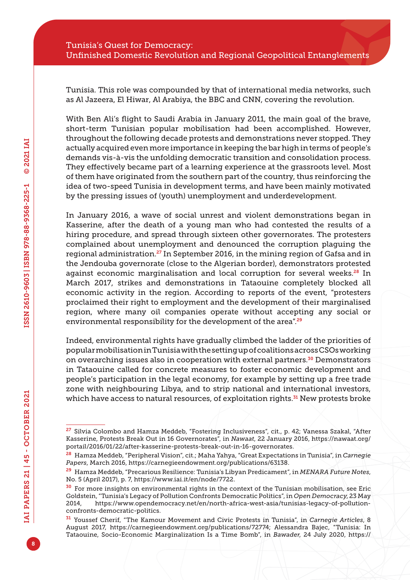Tunisia. This role was compounded by that of international media networks, such as Al Jazeera, El Hiwar, Al Arabiya, the BBC and CNN, covering the revolution.

With Ben Ali's flight to Saudi Arabia in January 2011, the main goal of the brave, short-term Tunisian popular mobilisation had been accomplished. However, throughout the following decade protests and demonstrations never stopped. They actually acquired even more importance in keeping the bar high in terms of people's demands vis-à-vis the unfolding democratic transition and consolidation process. They effectively became part of a learning experience at the grassroots level. Most of them have originated from the southern part of the country, thus reinforcing the idea of two-speed Tunisia in development terms, and have been mainly motivated by the pressing issues of (youth) unemployment and underdevelopment.

In January 2016, a wave of social unrest and violent demonstrations began in Kasserine, after the death of a young man who had contested the results of a hiring procedure, and spread through sixteen other governorates. The protesters complained about unemployment and denounced the corruption plaguing the regional administration.27 In September 2016, in the mining region of Gafsa and in the Jendouba governorate (close to the Algerian border), demonstrators protested against economic marginalisation and local corruption for several weeks.<sup>28</sup> In March 2017, strikes and demonstrations in Tataouine completely blocked all economic activity in the region. According to reports of the event, "protesters proclaimed their right to employment and the development of their marginalised region, where many oil companies operate without accepting any social or environmental responsibility for the development of the area".<sup>29</sup>

Indeed, environmental rights have gradually climbed the ladder of the priorities of popular mobilisation in Tunisia with the setting up of coalitions across CSOs working on overarching issues also in cooperation with external partners.<sup>30</sup> Demonstrators in Tataouine called for concrete measures to foster economic development and people's participation in the legal economy, for example by setting up a free trade zone with neighbouring Libya, and to strip national and international investors, which have access to natural resources, of exploitation rights.<sup>31</sup> New protests broke

<sup>&</sup>lt;sup>27</sup> Silvia Colombo and Hamza Meddeb, "Fostering Inclusiveness", cit., p. 42; Vanessa Szakal, "After Kasserine, Protests Break Out in 16 Governorates", in *Nawaat*, 22 January 2016, [https://nawaat.org/](https://nawaat.org/portail/2016/01/22/after-kasserine-protests-break-out-in-16-governorates) [portail/2016/01/22/after-kasserine-protests-break-out-in-16-governorates.](https://nawaat.org/portail/2016/01/22/after-kasserine-protests-break-out-in-16-governorates)

<sup>28</sup> Hamza Meddeb, "Peripheral Vision", cit.; Maha Yahya, "Great Expectations in Tunisia", in *Carnegie Papers*, March 2016, <https://carnegieendowment.org/publications/63138>.

<sup>29</sup> Hamza Meddeb, "Precarious Resilience: Tunisia's Libyan Predicament", in *MENARA Future Notes*, No. 5 (April 2017), p. 7, <https://www.iai.it/en/node/7722>.

<sup>&</sup>lt;sup>30</sup> For more insights on environmental rights in the context of the Tunisian mobilisation, see Eric Goldstein, "Tunisia's Legacy of Pollution Confronts Democratic Politics", in *Open Democracy*, 23 May 2014, [https://www.opendemocracy.net/en/north-africa-west-asia/tunisias-legacy-of-pollution](https://www.opendemocracy.net/en/north-africa-west-asia/tunisias-legacy-of-pollution-confronts-democratic-politics)[confronts-democratic-politics.](https://www.opendemocracy.net/en/north-africa-west-asia/tunisias-legacy-of-pollution-confronts-democratic-politics)

<sup>31</sup> Youssef Cherif, "The Kamour Movement and Civic Protests in Tunisia", in *Carnegie Articles*, 8 August 2017, [https://carnegieendowment.org/publications/72774;](https://carnegieendowment.org/publications/72774) Alessandra Bajec, "Tunisia: In Tataouine, Socio-Economic Marginalization Is a Time Bomb", in *Bawader*, 24 July 2020, [https://](https://www.arab-reform.net/?p=11217)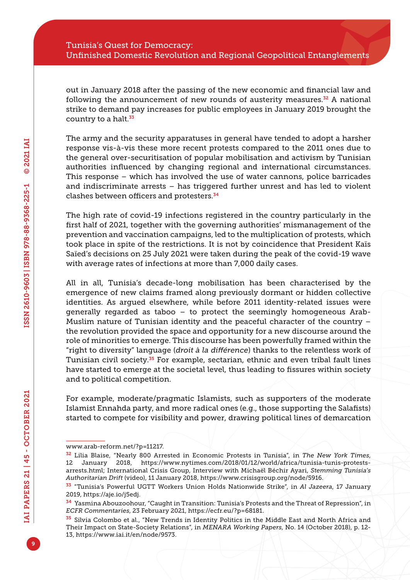out in January 2018 after the passing of the new economic and financial law and following the announcement of new rounds of austerity measures. $32$  A national strike to demand pay increases for public employees in January 2019 brought the country to a halt.<sup>33</sup>

The army and the security apparatuses in general have tended to adopt a harsher response vis-à-vis these more recent protests compared to the 2011 ones due to the general over-securitisation of popular mobilisation and activism by Tunisian authorities influenced by changing regional and international circumstances. This response – which has involved the use of water cannons, police barricades and indiscriminate arrests – has triggered further unrest and has led to violent clashes between officers and protesters.<sup>34</sup>

The high rate of covid-19 infections registered in the country particularly in the first half of 2021, together with the governing authorities' mismanagement of the prevention and vaccination campaigns, led to the multiplication of protests, which took place in spite of the restrictions. It is not by coincidence that President Kaïs Saïed's decisions on 25 July 2021 were taken during the peak of the covid-19 wave with average rates of infections at more than 7,000 daily cases.

All in all, Tunisia's decade-long mobilisation has been characterised by the emergence of new claims framed along previously dormant or hidden collective identities. As argued elsewhere, while before 2011 identity-related issues were generally regarded as taboo – to protect the seemingly homogeneous Arab-Muslim nature of Tunisian identity and the peaceful character of the country – the revolution provided the space and opportunity for a new discourse around the role of minorities to emerge. This discourse has been powerfully framed within the "right to diversity" language (*droit à la différence*) thanks to the relentless work of Tunisian civil society.<sup>35</sup> For example, sectarian, ethnic and even tribal fault lines have started to emerge at the societal level, thus leading to fissures within society and to political competition.

For example, moderate/pragmatic Islamists, such as supporters of the moderate Islamist Ennahda party, and more radical ones (e.g., those supporting the Salafists) started to compete for visibility and power, drawing political lines of demarcation

[www.arab-reform.net/?p=11217.](https://www.arab-reform.net/?p=11217)

<sup>32</sup> Lilia Blaise, "Nearly 800 Arrested in Economic Protests in Tunisia", in *The New York Times*, 12 January 2018, [https://www.nytimes.com/2018/01/12/world/africa/tunisia-tunis-protests](https://www.nytimes.com/2018/01/12/world/africa/tunisia-tunis-protests-arrests.html)[arrests.html;](https://www.nytimes.com/2018/01/12/world/africa/tunisia-tunis-protests-arrests.html) International Crisis Group, Interview with Michaël Béchir Ayari, *Stemming Tunisia's Authoritarian Drift* (video), 11 January 2018, [https://www.crisisgroup.org/node/5916.](https://www.crisisgroup.org/node/5916)

<sup>33</sup> "Tunisia's Powerful UGTT Workers Union Holds Nationwide Strike", in *Al Jazeera*, 17 January 2019, [https://aje.io/j5edj.](https://aje.io/j5edj)

<sup>34</sup> Yasmina Abouzoohour, "Caught in Transition: Tunisia's Protests and the Threat of Repression", in *ECFR Commentaries*, 23 February 2021, [https://ecfr.eu/?p=68181.](https://ecfr.eu/?p=68181)

<sup>&</sup>lt;sup>35</sup> Silvia Colombo et al., "New Trends in Identity Politics in the Middle East and North Africa and Their Impact on State-Society Relations", in *MENARA Working Papers*, No. 14 (October 2018), p. 12- 13,<https://www.iai.it/en/node/9573>.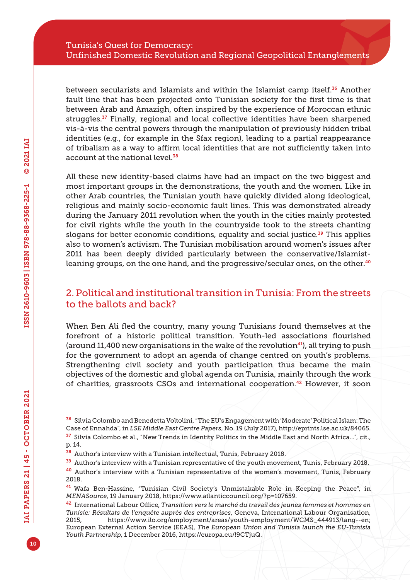between secularists and Islamists and within the Islamist camp itself.<sup>36</sup> Another fault line that has been projected onto Tunisian society for the first time is that between Arab and Amazigh, often inspired by the experience of Moroccan ethnic struggles.<sup>37</sup> Finally, regional and local collective identities have been sharpened vis-à-vis the central powers through the manipulation of previously hidden tribal identities (e.g., for example in the Sfax region), leading to a partial reappearance of tribalism as a way to affirm local identities that are not sufficiently taken into account at the national level.<sup>38</sup>

All these new identity-based claims have had an impact on the two biggest and most important groups in the demonstrations, the youth and the women. Like in other Arab countries, the Tunisian youth have quickly divided along ideological, religious and mainly socio-economic fault lines. This was demonstrated already during the January 2011 revolution when the youth in the cities mainly protested for civil rights while the youth in the countryside took to the streets chanting slogans for better economic conditions, equality and social justice. $39$  This applies also to women's activism. The Tunisian mobilisation around women's issues after 2011 has been deeply divided particularly between the conservative/Islamistleaning groups, on the one hand, and the progressive/secular ones, on the other.<sup>40</sup>

## 2. Political and institutional transition in Tunisia: From the streets to the ballots and back?

When Ben Ali fled the country, many young Tunisians found themselves at the forefront of a historic political transition. Youth-led associations flourished (around 11,400 new organisations in the wake of the revolution $41$ ), all trying to push for the government to adopt an agenda of change centred on youth's problems. Strengthening civil society and youth participation thus became the main objectives of the domestic and global agenda on Tunisia, mainly through the work of charities, grassroots CSOs and international cooperation.42 However, it soon

<sup>39</sup> Author's interview with a Tunisian representative of the youth movement, Tunis, February 2018.

<sup>36</sup> Silvia Colombo and Benedetta Voltolini, "The EU's Engagement with 'Moderate' Political Islam: The Case of Ennahda", in *LSE Middle East Centre Papers*, No. 19 (July 2017),<http://eprints.lse.ac.uk/84065>.

<sup>37</sup> Silvia Colombo et al., "New Trends in Identity Politics in the Middle East and North Africa…", cit., p. 14.

<sup>38</sup> Author's interview with a Tunisian intellectual, Tunis, February 2018.

<sup>40</sup> Author's interview with a Tunisian representative of the women's movement, Tunis, February 2018.

<sup>41</sup> Wafa Ben-Hassine, "Tunisian Civil Society's Unmistakable Role in Keeping the Peace", in *MENASource*, 19 January 2018, [https://www.atlanticcouncil.org/?p=107659.](https://www.atlanticcouncil.org/?p=107659)

<sup>42</sup> International Labour Office, *Transition vers le marché du travail des jeunes femmes et hommes en Tunisie: Résultats de l'enquête auprès des entreprises*, Geneva, International Labour Organisation, 2015, [https://www.ilo.org/employment/areas/youth-employment/WCMS\\_444913/lang--en;](https://www.ilo.org/employment/areas/youth-employment/WCMS_444913/lang--en) European External Action Service (EEAS), *The European Union and Tunisia launch the EU-Tunisia Youth Partnership*, 1 December 2016,<https://europa.eu/!9CTjuQ>.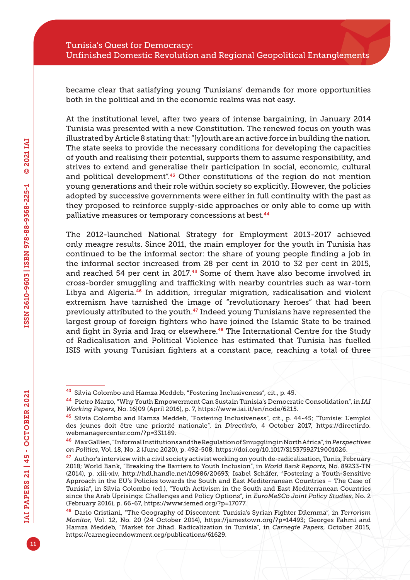became clear that satisfying young Tunisians' demands for more opportunities both in the political and in the economic realms was not easy.

At the institutional level, after two years of intense bargaining, in January 2014 Tunisia was presented with a new Constitution. The renewed focus on youth was illustrated by Article 8 stating that: "[y]outh are an active force in building the nation. The state seeks to provide the necessary conditions for developing the capacities of youth and realising their potential, supports them to assume responsibility, and strives to extend and generalise their participation in social, economic, cultural and political development".<sup>43</sup> Other constitutions of the region do not mention young generations and their role within society so explicitly. However, the policies adopted by successive governments were either in full continuity with the past as they proposed to reinforce supply-side approaches or only able to come up with palliative measures or temporary concessions at best.<sup>44</sup>

The 2012-launched National Strategy for Employment 2013-2017 achieved only meagre results. Since 2011, the main employer for the youth in Tunisia has continued to be the informal sector: the share of young people finding a job in the informal sector increased from 28 per cent in 2010 to 32 per cent in 2015, and reached 54 per cent in 2017.<sup>45</sup> Some of them have also become involved in cross-border smuggling and trafficking with nearby countries such as war-torn Libya and Algeria.46 In addition, irregular migration, radicalisation and violent extremism have tarnished the image of "revolutionary heroes" that had been previously attributed to the youth.47 Indeed young Tunisians have represented the largest group of foreign fighters who have joined the Islamic State to be trained and fight in Syria and Iraq or elsewhere.<sup>48</sup> The International Centre for the Study of Radicalisation and Political Violence has estimated that Tunisia has fuelled ISIS with young Tunisian fighters at a constant pace, reaching a total of three

<sup>43</sup> Silvia Colombo and Hamza Meddeb, "Fostering Inclusiveness", cit., p. 45.

<sup>44</sup> Pietro Marzo, "Why Youth Empowerment Can Sustain Tunisia's Democratic Consolidation", in *IAI Working Papers*, No. 16|09 (April 2016), p. 7,<https://www.iai.it/en/node/6215>.

<sup>45</sup> Silvia Colombo and Hamza Meddeb, "Fostering Inclusiveness", cit., p. 44-45; "Tunisie: L'emploi des jeunes doit être une priorité nationale", in *Directinfo*, 4 October 2017, [https://directinfo.](https://directinfo.webmanagercenter.com/?p=331189) [webmanagercenter.com/?p=331189.](https://directinfo.webmanagercenter.com/?p=331189)

<sup>46</sup> Max Gallien, "Informal Institutions and the Regulation of Smuggling in North Africa", in *Perspectives on Politics*, Vol. 18, No. 2 (June 2020), p. 492-508, [https://doi.org/10.1017/S1537592719001026.](https://doi.org/10.1017/S1537592719001026)

<sup>&</sup>lt;sup>47</sup> Author's interview with a civil society activist working on youth de-radicalisation, Tunis, February 2018; World Bank, "Breaking the Barriers to Youth Inclusion", in *World Bank Reports*, No. 89233-TN (2014), p. xiii-xiv, <http://hdl.handle.net/10986/20693>; Isabel Schäfer, "Fostering a Youth-Sensitive Approach in the EU's Policies towards the South and East Mediterranean Countries – The Case of Tunisia", in Silvia Colombo (ed.), "Youth Activism in the South and East Mediterranean Countries since the Arab Uprisings: Challenges and Policy Options", in *EuroMeSCo Joint Policy Studies*, No. 2 (February 2016), p. 66-67, [https://www.iemed.org/?p=17077.](https://www.iemed.org/?p=17077)

<sup>48</sup> Dario Cristiani, "The Geography of Discontent: Tunisia's Syrian Fighter Dilemma", in *Terrorism Monitor*, Vol. 12, No. 20 (24 October 2014), <https://jamestown.org/?p=14493>; Georges Fahmi and Hamza Meddeb, "Market for Jihad. Radicalization in Tunisia", in *Carnegie Papers*, October 2015, [https://carnegieendowment.org/publications/61629.](https://carnegieendowment.org/publications/61629)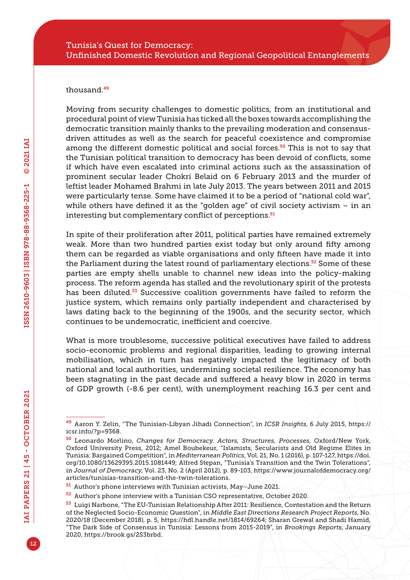#### thousand<sup>49</sup>

Moving from security challenges to domestic politics, from an institutional and procedural point of view Tunisia has ticked all the boxes towards accomplishing the democratic transition mainly thanks to the prevailing moderation and consensusdriven attitudes as well as the search for peaceful coexistence and compromise among the different domestic political and social forces.<sup>50</sup> This is not to say that the Tunisian political transition to democracy has been devoid of conflicts, some if which have even escalated into criminal actions such as the assassination of prominent secular leader Chokri Belaid on 6 February 2013 and the murder of leftist leader Mohamed Brahmi in late July 2013. The years between 2011 and 2015 were particularly tense. Some have claimed it to be a period of "national cold war", while others have defined it as the "golden age" of civil society activism – in an interesting but complementary conflict of perceptions.<sup>51</sup>

In spite of their proliferation after 2011, political parties have remained extremely weak. More than two hundred parties exist today but only around fifty among them can be regarded as viable organisations and only fifteen have made it into the Parliament during the latest round of parliamentary elections.<sup>52</sup> Some of these parties are empty shells unable to channel new ideas into the policy-making process. The reform agenda has stalled and the revolutionary spirit of the protests has been diluted.<sup>53</sup> Successive coalition governments have failed to reform the justice system, which remains only partially independent and characterised by laws dating back to the beginning of the 1900s, and the security sector, which continues to be undemocratic, inefficient and coercive.

What is more troublesome, successive political executives have failed to address socio-economic problems and regional disparities, leading to growing internal mobilisation, which in turn has negatively impacted the legitimacy of both national and local authorities, undermining societal resilience. The economy has been stagnating in the past decade and suffered a heavy blow in 2020 in terms of GDP growth (-8.6 per cent), with unemployment reaching 16.3 per cent and

<sup>49</sup> Aaron Y. Zelin, "The Tunisian-Libyan Jihadi Connection", in *ICSR Insights*, 6 July 2015, [https://](https://icsr.info/?p=9368) [icsr.info/?p=9368.](https://icsr.info/?p=9368)

<sup>50</sup> Leonardo Morlino, *Changes for Democracy. Actors, Structures, Processes*, Oxford/New York, Oxford University Press, 2012; Amel Boubekeur, "Islamists, Secularists and Old Regime Elites in Tunisia: Bargained Competition", in *Mediterranean Politics*, Vol. 21, No. 1 (2016), p. 107-127, [https://doi.](https://doi.org/10.1080/13629395.2015.1081449) [org/10.1080/13629395.2015.1081449;](https://doi.org/10.1080/13629395.2015.1081449) Alfred Stepan, "Tunisia's Transition and the Twin Tolerations", in *Journal of Democracy*, Vol. 23, No. 2 (April 2012), p. 89-103, [https://www.journalofdemocracy.org/](https://www.journalofdemocracy.org/articles/tunisias-transition-and-the-twin-tolerations) [articles/tunisias-transition-and-the-twin-tolerations](https://www.journalofdemocracy.org/articles/tunisias-transition-and-the-twin-tolerations).

<sup>51</sup> Author's phone interviews with Tunisian activists, May–June 2021.

<sup>52</sup> Author's phone interview with a Tunisian CSO representative, October 2020.

<sup>53</sup> Luigi Narbone, "The EU-Tunisian Relationship After 2011: Resilience, Contestation and the Return of the Neglected Socio-Economic Question", in *Middle East Directions Research Project Reports*, No. 2020/18 (December 2018), p. 5, [https://hdl.handle.net/1814/69264;](https://hdl.handle.net/1814/69264) Sharan Grewal and Shadi Hamid, "The Dark Side of Consensus in Tunisia: Lessons from 2015-2019", in *Brookings Reports*, January 2020, [https://brook.gs/2S3brbd.](https://brook.gs/2S3brbd)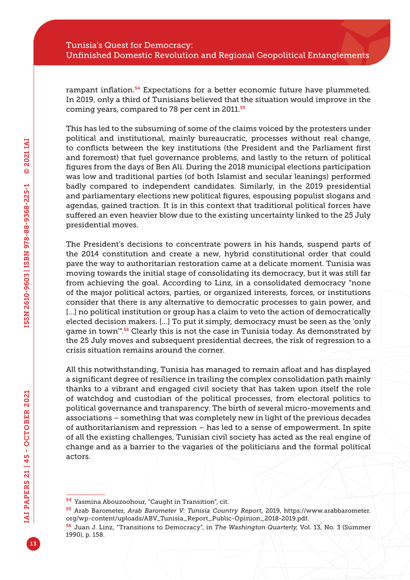rampant inflation.<sup>54</sup> Expectations for a better economic future have plummeted. In 2019, only a third of Tunisians believed that the situation would improve in the coming years, compared to 78 per cent in 2011.<sup>55</sup>

This has led to the subsuming of some of the claims voiced by the protesters under political and institutional, mainly bureaucratic, processes without real change, to conflicts between the key institutions (the President and the Parliament first and foremost) that fuel governance problems, and lastly to the return of political figures from the days of Ben Ali. During the 2018 municipal elections participation was low and traditional parties (of both Islamist and secular leanings) performed badly compared to independent candidates. Similarly, in the 2019 presidential and parliamentary elections new political figures, espousing populist slogans and agendas, gained traction. It is in this context that traditional political forces have suffered an even heavier blow due to the existing uncertainty linked to the 25 July presidential moves.

The President's decisions to concentrate powers in his hands, suspend parts of the 2014 constitution and create a new, hybrid constitutional order that could pave the way to authoritarian restoration came at a delicate moment. Tunisia was moving towards the initial stage of consolidating its democracy, but it was still far from achieving the goal. According to Linz, in a consolidated democracy "none of the major political actors, parties, or organized interests, forces, or institutions consider that there is any alternative to democratic processes to gain power, and [...] no political institution or group has a claim to veto the action of democratically elected decision makers. […] To put it simply, democracy must be seen as the 'only game in town<sup>"56</sup> Clearly this is not the case in Tunisia today. As demonstrated by the 25 July moves and subsequent presidential decrees, the risk of regression to a crisis situation remains around the corner.

All this notwithstanding, Tunisia has managed to remain afloat and has displayed a significant degree of resilience in trailing the complex consolidation path mainly thanks to a vibrant and engaged civil society that has taken upon itself the role of watchdog and custodian of the political processes, from electoral politics to political governance and transparency. The birth of several micro-movements and associations – something that was completely new in light of the previous decades of authoritarianism and repression – has led to a sense of empowerment. In spite of all the existing challenges, Tunisian civil society has acted as the real engine of change and as a barrier to the vagaries of the politicians and the formal political actors.

<sup>54</sup> Yasmina Abouzoohour, "Caught in Transition", cit.

<sup>55</sup> Arab Barometer, *Arab Barometer V: Tunisia Country Report*, 2019, [https://www.arabbarometer.](https://www.arabbarometer.org/wp-content/uploads/ABV_Tunisia_Report_Public-Opinion_2018-2019.pdf) [org/wp-content/uploads/ABV\\_Tunisia\\_Report\\_Public-Opinion\\_2018-2019.pdf.](https://www.arabbarometer.org/wp-content/uploads/ABV_Tunisia_Report_Public-Opinion_2018-2019.pdf)

<sup>56</sup> Juan J. Linz, "Transitions to Democracy", in *The Washington Quarterly*, Vol. 13, No. 3 (Summer 1990), p. 158.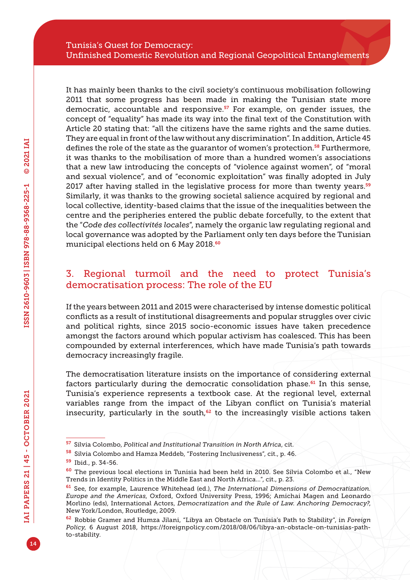It has mainly been thanks to the civil society's continuous mobilisation following 2011 that some progress has been made in making the Tunisian state more democratic, accountable and responsive. $57$  For example, on gender issues, the concept of "equality" has made its way into the final text of the Constitution with Article 20 stating that: "all the citizens have the same rights and the same duties. They are equal in front of the law without any discrimination". In addition, Article 45 defines the role of the state as the guarantor of women's protection.<sup>58</sup> Furthermore, it was thanks to the mobilisation of more than a hundred women's associations that a new law introducing the concepts of "violence against women", of "moral and sexual violence", and of "economic exploitation" was finally adopted in July 2017 after having stalled in the legislative process for more than twenty years. $59$ Similarly, it was thanks to the growing societal salience acquired by regional and local collective, identity-based claims that the issue of the inequalities between the centre and the peripheries entered the public debate forcefully, to the extent that the "*Code des collectivités locales*", namely the organic law regulating regional and local governance was adopted by the Parliament only ten days before the Tunisian municipal elections held on 6 May 2018.<sup>60</sup>

## 3. Regional turmoil and the need to protect Tunisia's democratisation process: The role of the EU

If the years between 2011 and 2015 were characterised by intense domestic political conflicts as a result of institutional disagreements and popular struggles over civic and political rights, since 2015 socio-economic issues have taken precedence amongst the factors around which popular activism has coalesced. This has been compounded by external interferences, which have made Tunisia's path towards democracy increasingly fragile.

The democratisation literature insists on the importance of considering external factors particularly during the democratic consolidation phase.<sup>61</sup> In this sense, Tunisia's experience represents a textbook case. At the regional level, external variables range from the impact of the Libyan conflict on Tunisia's material insecurity, particularly in the south, $62$  to the increasingly visible actions taken

<sup>57</sup> Silvia Colombo, *Political and Institutional Transition in North Africa*, cit.

<sup>58</sup> Silvia Colombo and Hamza Meddeb, "Fostering Inclusiveness", cit., p. 46.

<sup>59</sup> Ibid., p. 34-56.

<sup>60</sup> The previous local elections in Tunisia had been held in 2010. See Silvia Colombo et al., "New Trends in Identity Politics in the Middle East and North Africa…", cit., p. 23.

<sup>61</sup> See, for example, Laurence Whitehead (ed.), *The International Dimensions of Democratization. Europe and the Americas*, Oxford, Oxford University Press, 1996; Amichai Magen and Leonardo Morlino (eds), International Actors, *Democratization and the Rule of Law. Anchoring Democracy?*, New York/London, Routledge, 2009.

<sup>62</sup> Robbie Gramer and Humza Jilani, "Libya an Obstacle on Tunisia's Path to Stability", in *Foreign Policy*, 6 August 2018, [https://foreignpolicy.com/2018/08/06/libya-an-obstacle-on-tunisias-path](https://foreignpolicy.com/2018/08/06/libya-an-obstacle-on-tunisias-path-to-stability)[to-stability](https://foreignpolicy.com/2018/08/06/libya-an-obstacle-on-tunisias-path-to-stability).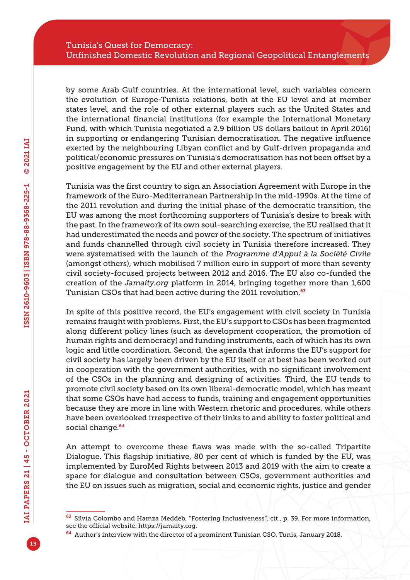by some Arab Gulf countries. At the international level, such variables concern the evolution of Europe-Tunisia relations, both at the EU level and at member states level, and the role of other external players such as the United States and the international financial institutions (for example the International Monetary Fund, with which Tunisia negotiated a 2.9 billion US dollars bailout in April 2016) in supporting or endangering Tunisian democratisation. The negative influence exerted by the neighbouring Libyan conflict and by Gulf-driven propaganda and political/economic pressures on Tunisia's democratisation has not been offset by a positive engagement by the EU and other external players.

Tunisia was the first country to sign an Association Agreement with Europe in the framework of the Euro-Mediterranean Partnership in the mid-1990s. At the time of the 2011 revolution and during the initial phase of the democratic transition, the EU was among the most forthcoming supporters of Tunisia's desire to break with the past. In the framework of its own soul-searching exercise, the EU realised that it had underestimated the needs and power of the society. The spectrum of initiatives and funds channelled through civil society in Tunisia therefore increased. They were systematised with the launch of the *Programme d'Appui à la Société Civile* (amongst others), which mobilised 7 million euro in support of more than seventy civil society-focused projects between 2012 and 2016. The EU also co-funded the creation of the *<Jamaity.org>* platform in 2014, bringing together more than 1,600 Tunisian CSOs that had been active during the 2011 revolution.<sup>63</sup>

In spite of this positive record, the EU's engagement with civil society in Tunisia remains fraught with problems. First, the EU's support to CSOs has been fragmented along different policy lines (such as development cooperation, the promotion of human rights and democracy) and funding instruments, each of which has its own logic and little coordination. Second, the agenda that informs the EU's support for civil society has largely been driven by the EU itself or at best has been worked out in cooperation with the government authorities, with no significant involvement of the CSOs in the planning and designing of activities. Third, the EU tends to promote civil society based on its own liberal-democratic model, which has meant that some CSOs have had access to funds, training and engagement opportunities because they are more in line with Western rhetoric and procedures, while others have been overlooked irrespective of their links to and ability to foster political and social change.<sup>64</sup>

An attempt to overcome these flaws was made with the so-called Tripartite Dialogue. This flagship initiative, 80 per cent of which is funded by the EU, was implemented by EuroMed Rights between 2013 and 2019 with the aim to create a space for dialogue and consultation between CSOs, government authorities and the EU on issues such as migration, social and economic rights, justice and gender

<sup>63</sup> Silvia Colombo and Hamza Meddeb, "Fostering Inclusiveness", cit., p. 39. For more information, see the official website:<https://jamaity.org>.

<sup>64</sup> Author's interview with the director of a prominent Tunisian CSO, Tunis, January 2018.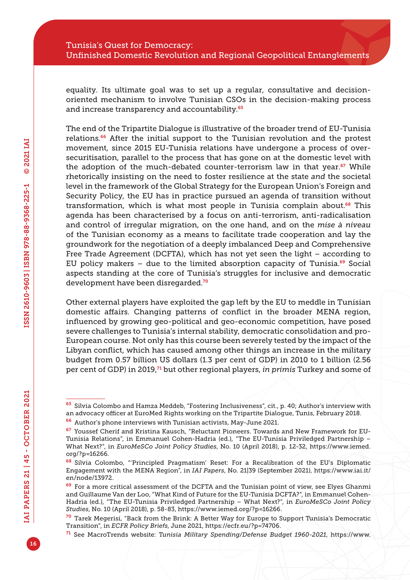equality. Its ultimate goal was to set up a regular, consultative and decisionoriented mechanism to involve Tunisian CSOs in the decision-making process and increase transparency and accountability.<sup>65</sup>

The end of the Tripartite Dialogue is illustrative of the broader trend of EU-Tunisia relations.<sup>66</sup> After the initial support to the Tunisian revolution and the protest movement, since 2015 EU-Tunisia relations have undergone a process of oversecuritisation, parallel to the process that has gone on at the domestic level with the adoption of the much-debated counter-terrorism law in that year.<sup>67</sup> While rhetorically insisting on the need to foster resilience at the state *and* the societal level in the framework of the Global Strategy for the European Union's Foreign and Security Policy, the EU has in practice pursued an agenda of transition without transformation, which is what most people in Tunisia complain about. $68$  This agenda has been characterised by a focus on anti-terrorism, anti-radicalisation and control of irregular migration, on the one hand, and on the *mise à niveau* of the Tunisian economy as a means to facilitate trade cooperation and lay the groundwork for the negotiation of a deeply imbalanced Deep and Comprehensive Free Trade Agreement (DCFTA), which has not yet seen the light – according to EU policy makers – due to the limited absorption capacity of Tunisia.<sup>69</sup> Social aspects standing at the core of Tunisia's struggles for inclusive and democratic development have been disregarded.<sup>70</sup>

Other external players have exploited the gap left by the EU to meddle in Tunisian domestic affairs. Changing patterns of conflict in the broader MENA region, influenced by growing geo-political and geo-economic competition, have posed severe challenges to Tunisia's internal stability, democratic consolidation and pro-European course. Not only has this course been severely tested by the impact of the Libyan conflict, which has caused among other things an increase in the military budget from 0.57 billion US dollars (1.3 per cent of GDP) in 2010 to 1 billion (2.56 per cent of GDP) in 2019,71 but other regional players, *in primis* Turkey and some of

<sup>65</sup> Silvia Colombo and Hamza Meddeb, "Fostering Inclusiveness", cit., p. 40; Author's interview with an advocacy officer at EuroMed Rights working on the Tripartite Dialogue, Tunis, February 2018.

<sup>66</sup> Author's phone interviews with Tunisian activists, May-June 2021.

<sup>67</sup> Youssef Cherif and Kristina Kausch, "Reluctant Pioneers. Towards and New Framework for EU-Tunisia Relations", in Emmanuel Cohen-Hadria (ed.), "The EU-Tunisia Priviledged Partnership – What Next?", in *EuroMeSCo Joint Policy Studies*, No. 10 (April 2018), p. 12-32, [https://www.iemed.](https://www.iemed.org/?p=16266) [org/?p=16266.](https://www.iemed.org/?p=16266)

<sup>68</sup> Silvia Colombo, "'Principled Pragmatism' Reset: For a Recalibration of the EU's Diplomatic Engagement with the MENA Region", in *IAI Papers*, No. 21|39 (September 2021), [https://www.iai.it/](https://www.iai.it/en/node/13972) [en/node/13972.](https://www.iai.it/en/node/13972)

<sup>&</sup>lt;sup>69</sup> For a more critical assessment of the DCFTA and the Tunisian point of view, see Elyes Ghanmi and Guillaume Van der Loo, "What Kind of Future for the EU-Tunisia DCFTA?", in Emmanuel Cohen-Hadria (ed.), "The EU-Tunisia Priviledged Partnership – What Next?", in *EuroMeSCo Joint Policy Studies*, No. 10 (April 2018), p. 58-83, [https://www.iemed.org/?p=16266.](https://www.iemed.org/?p=16266)

<sup>70</sup> Tarek Megerisi, "Back from the Brink: A Better Way for Europe to Support Tunisia's Democratic Transition", in *ECFR Policy Briefs*, June 2021, [https://ecfr.eu/?p=74706.](https://ecfr.eu/?p=74706)

<sup>71</sup> See MacroTrends website: T*unisia Military Spending/Defense Budget 1960-2021*, [https://www.](https://www.macrotrends.net/countries/TUN/tunisia/military-spending-defense-budget)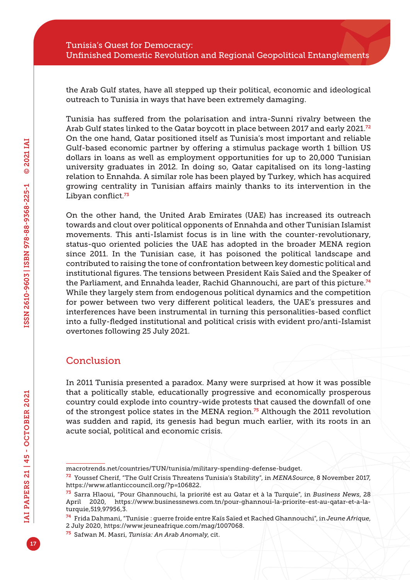the Arab Gulf states, have all stepped up their political, economic and ideological outreach to Tunisia in ways that have been extremely damaging.

Tunisia has suffered from the polarisation and intra-Sunni rivalry between the Arab Gulf states linked to the Qatar boycott in place between 2017 and early 2021.<sup>72</sup> On the one hand, Qatar positioned itself as Tunisia's most important and reliable Gulf-based economic partner by offering a stimulus package worth 1 billion US dollars in loans as well as employment opportunities for up to 20,000 Tunisian university graduates in 2012. In doing so, Qatar capitalised on its long-lasting relation to Ennahda. A similar role has been played by Turkey, which has acquired growing centrality in Tunisian affairs mainly thanks to its intervention in the Libyan conflict.<sup>73</sup>

On the other hand, the United Arab Emirates (UAE) has increased its outreach towards and clout over political opponents of Ennahda and other Tunisian Islamist movements. This anti-Islamist focus is in line with the counter-revolutionary, status-quo oriented policies the UAE has adopted in the broader MENA region since 2011. In the Tunisian case, it has poisoned the political landscape and contributed to raising the tone of confrontation between key domestic political and institutional figures. The tensions between President Kaïs Saïed and the Speaker of the Parliament, and Ennahda leader, Rachid Ghannouchi, are part of this picture.<sup>74</sup> While they largely stem from endogenous political dynamics and the competition for power between two very different political leaders, the UAE's pressures and interferences have been instrumental in turning this personalities-based conflict into a fully-fledged institutional and political crisis with evident pro/anti-Islamist overtones following 25 July 2021.

## Conclusion

In 2011 Tunisia presented a paradox. Many were surprised at how it was possible that a politically stable, educationally progressive and economically prosperous country could explode into country-wide protests that caused the downfall of one of the strongest police states in the MENA region.75 Although the 2011 revolution was sudden and rapid, its genesis had begun much earlier, with its roots in an acute social, political and economic crisis.

[macrotrends.net/countries/TUN/tunisia/military-spending-defense-budget](https://www.macrotrends.net/countries/TUN/tunisia/military-spending-defense-budget).

<sup>72</sup> Youssef Cherif, "The Gulf Crisis Threatens Tunisia's Stability", in *MENASource*, 8 November 2017, [https://www.atlanticcouncil.org/?p=106822.](https://www.atlanticcouncil.org/?p=106822)

<sup>73</sup> Sarra Hlaoui, "Pour Ghannouchi, la priorité est au Qatar et à la Turquie", in *Business News*, 28 April 2020, [https://www.businessnews.com.tn/pour-ghannoui-la-priorite-est-au-qatar-et-a-la](https://www.businessnews.com.tn/pour-ghannoui-la-priorite-est-au-qatar-et-a-la-turquie,519,97956,3)[turquie,519,97956,3.](https://www.businessnews.com.tn/pour-ghannoui-la-priorite-est-au-qatar-et-a-la-turquie,519,97956,3)

<sup>74</sup> Frida Dahmani, "Tunisie : guerre froide entre Kaïs Saïed et Rached Ghannouchi", in *Jeune Afrique*, 2 July 2020, [https://www.jeuneafrique.com/mag/1007068.](https://www.jeuneafrique.com/mag/1007068)

<sup>75</sup> Safwan M. Masri, *Tunisia: An Arab Anomaly*, cit.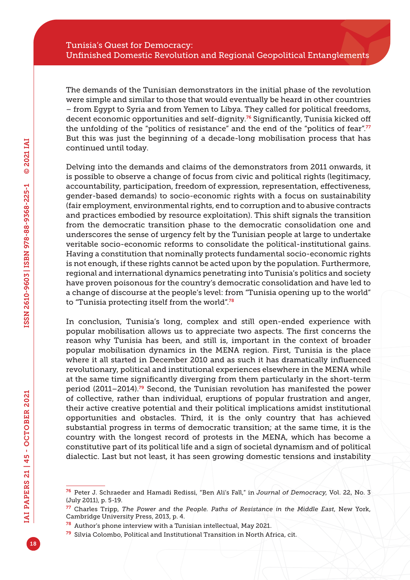The demands of the Tunisian demonstrators in the initial phase of the revolution were simple and similar to those that would eventually be heard in other countries – from Egypt to Syria and from Yemen to Libya. They called for political freedoms, decent economic opportunities and self-dignity.76 Significantly, Tunisia kicked off the unfolding of the "politics of resistance" and the end of the "politics of fear".<sup>77</sup> But this was just the beginning of a decade-long mobilisation process that has continued until today.

Delving into the demands and claims of the demonstrators from 2011 onwards, it is possible to observe a change of focus from civic and political rights (legitimacy, accountability, participation, freedom of expression, representation, effectiveness, gender-based demands) to socio-economic rights with a focus on sustainability (fair employment, environmental rights, end to corruption and to abusive contracts and practices embodied by resource exploitation). This shift signals the transition from the democratic transition phase to the democratic consolidation one and underscores the sense of urgency felt by the Tunisian people at large to undertake veritable socio-economic reforms to consolidate the political-institutional gains. Having a constitution that nominally protects fundamental socio-economic rights is not enough, if these rights cannot be acted upon by the population. Furthermore, regional and international dynamics penetrating into Tunisia's politics and society have proven poisonous for the country's democratic consolidation and have led to a change of discourse at the people's level: from "Tunisia opening up to the world" to "Tunisia protecting itself from the world".<sup>78</sup>

In conclusion, Tunisia's long, complex and still open-ended experience with popular mobilisation allows us to appreciate two aspects. The first concerns the reason why Tunisia has been, and still is, important in the context of broader popular mobilisation dynamics in the MENA region. First, Tunisia is the place where it all started in December 2010 and as such it has dramatically influenced revolutionary, political and institutional experiences elsewhere in the MENA while at the same time significantly diverging from them particularly in the short-term period (2011–2014).79 Second, the Tunisian revolution has manifested the power of collective, rather than individual, eruptions of popular frustration and anger, their active creative potential and their political implications amidst institutional opportunities and obstacles. Third, it is the only country that has achieved substantial progress in terms of democratic transition; at the same time, it is the country with the longest record of protests in the MENA, which has become a constitutive part of its political life and a sign of societal dynamism and of political dialectic. Last but not least, it has seen growing domestic tensions and instability

<sup>76</sup> Peter J. Schraeder and Hamadi Redissi, "Ben Ali's Fall," in *Journal of Democracy*, Vol. 22, No. 3 (July 2011), p. 5-19.

<sup>77</sup> Charles Tripp, *The Power and the People. Paths of Resistance in the Middle East*, New York, Cambridge University Press, 2013, p. 4.

<sup>78</sup> Author's phone interview with a Tunisian intellectual, May 2021.

 $79$  Silvia Colombo, Political and Institutional Transition in North Africa, cit.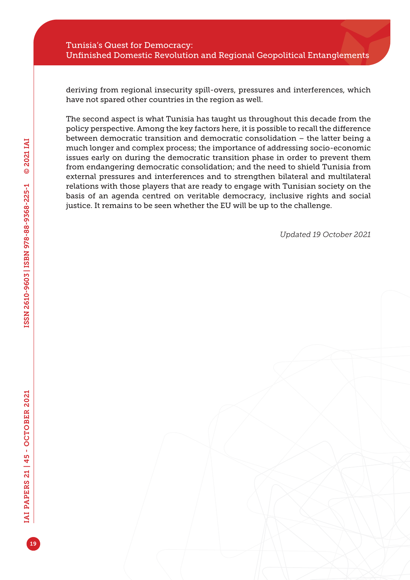#### Tunisia's Quest for Democracy: Unfinished Domestic Revolution and Regional Geopolitical Entanglements

deriving from regional insecurity spill-overs, pressures and interferences, which have not spared other countries in the region as well.

The second aspect is what Tunisia has taught us throughout this decade from the policy perspective. Among the key factors here, it is possible to recall the difference between democratic transition and democratic consolidation – the latter being a much longer and complex process; the importance of addressing socio-economic issues early on during the democratic transition phase in order to prevent them from endangering democratic consolidation; and the need to shield Tunisia from external pressures and interferences and to strengthen bilateral and multilateral relations with those players that are ready to engage with Tunisian society on the basis of an agenda centred on veritable democracy, inclusive rights and social justice. It remains to be seen whether the EU will be up to the challenge.

*Updated 19 October 2021*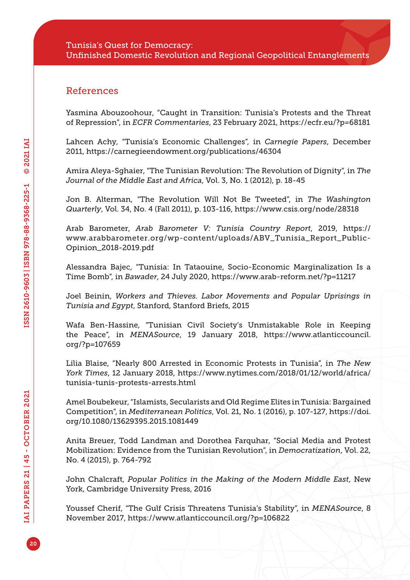### References

Yasmina Abouzoohour, "Caught in Transition: Tunisia's Protests and the Threat of Repression", in *ECFR Commentaries*, 23 February 2021,<https://ecfr.eu/?p=68181>

Lahcen Achy, "Tunisia's Economic Challenges", in *Carnegie Papers*, December 2011,<https://carnegieendowment.org/publications/46304>

Amira Aleya-Sghaier, "The Tunisian Revolution: The Revolution of Dignity", in *The Journal of the Middle East and Africa*, Vol. 3, No. 1 (2012), p. 18-45

Jon B. Alterman, "The Revolution Will Not Be Tweeted", in *The Washington Quarterly*, Vol. 34, No. 4 (Fall 2011), p. 103-116, <https://www.csis.org/node/28318>

Arab Barometer, *Arab Barometer V: Tunisia Country Report*, 2019, [https://](https://www.arabbarometer.org/wp-content/uploads/ABV_Tunisia_Report_Public-Opinion_2018-2019.pdf) [www.arabbarometer.org/wp-content/uploads/ABV\\_Tunisia\\_Report\\_Public-](https://www.arabbarometer.org/wp-content/uploads/ABV_Tunisia_Report_Public-Opinion_2018-2019.pdf)[Opinion\\_2018-2019.pdf](https://www.arabbarometer.org/wp-content/uploads/ABV_Tunisia_Report_Public-Opinion_2018-2019.pdf)

Alessandra Bajec, "Tunisia: In Tataouine, Socio-Economic Marginalization Is a Time Bomb", in *Bawader*, 24 July 2020,<https://www.arab-reform.net/?p=11217>

Joel Beinin, *Workers and Thieves. Labor Movements and Popular Uprisings in Tunisia and Egypt*, Stanford, Stanford Briefs, 2015

Wafa Ben-Hassine, "Tunisian Civil Society's Unmistakable Role in Keeping the Peace", in *MENASource*, 19 January 2018, [https://www.atlanticcouncil.](https://www.atlanticcouncil.org/?p=107659) [org/?p=107659](https://www.atlanticcouncil.org/?p=107659)

Lilia Blaise, "Nearly 800 Arrested in Economic Protests in Tunisia", in *The New York Times*, 12 January 2018, [https://www.nytimes.com/2018/01/12/world/africa/](https://www.nytimes.com/2018/01/12/world/africa/tunisia-tunis-protests-arrests.html) [tunisia-tunis-protests-arrests.html](https://www.nytimes.com/2018/01/12/world/africa/tunisia-tunis-protests-arrests.html)

Amel Boubekeur, "Islamists, Secularists and Old Regime Elites in Tunisia: Bargained Competition", in *Mediterranean Politics*, Vol. 21, No. 1 (2016), p. 107-127, [https://doi.](https://doi.org/10.1080/13629395.2015.1081449) [org/10.1080/13629395.2015.1081449](https://doi.org/10.1080/13629395.2015.1081449)

Anita Breuer, Todd Landman and Dorothea Farquhar, "Social Media and Protest Mobilization: Evidence from the Tunisian Revolution", in *Democratization*, Vol. 22, No. 4 (2015), p. 764-792

John Chalcraft, *Popular Politics in the Making of the Modern Middle East*, New York, Cambridge University Press, 2016

Youssef Cherif, "The Gulf Crisis Threatens Tunisia's Stability", in *MENASource*, 8 November 2017, <https://www.atlanticcouncil.org/?p=106822>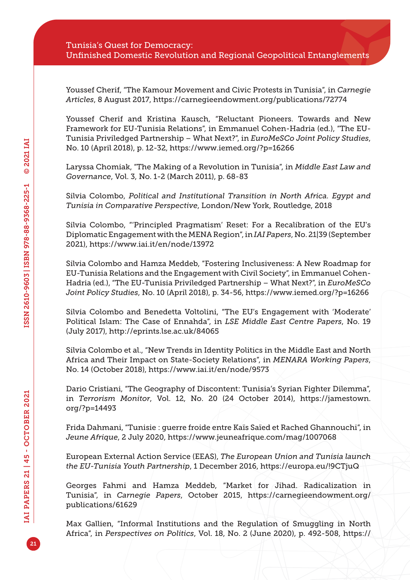Youssef Cherif, "The Kamour Movement and Civic Protests in Tunisia", in *Carnegie Articles*, 8 August 2017, <https://carnegieendowment.org/publications/72774>

Youssef Cherif and Kristina Kausch, "Reluctant Pioneers. Towards and New Framework for EU-Tunisia Relations", in Emmanuel Cohen-Hadria (ed.), "The EU-Tunisia Priviledged Partnership – What Next?", in *EuroMeSCo Joint Policy Studies*, No. 10 (April 2018), p. 12-32,<https://www.iemed.org/?p=16266>

Laryssa Chomiak, "The Making of a Revolution in Tunisia", in *Middle East Law and Governance*, Vol. 3, No. 1-2 (March 2011), p. 68-83

Silvia Colombo, *Political and Institutional Transition in North Africa. Egypt and Tunisia in Comparative Perspective*, London/New York, Routledge, 2018

Silvia Colombo, "'Principled Pragmatism' Reset: For a Recalibration of the EU's Diplomatic Engagement with the MENA Region", in *IAI Papers*, No. 21|39 (September 2021), <https://www.iai.it/en/node/13972>

Silvia Colombo and Hamza Meddeb, "Fostering Inclusiveness: A New Roadmap for EU-Tunisia Relations and the Engagement with Civil Society", in Emmanuel Cohen-Hadria (ed.), "The EU-Tunisia Priviledged Partnership – What Next?", in *EuroMeSCo Joint Policy Studies*, No. 10 (April 2018), p. 34-56, <https://www.iemed.org/?p=16266>

Silvia Colombo and Benedetta Voltolini, "The EU's Engagement with 'Moderate' Political Islam: The Case of Ennahda", in *LSE Middle East Centre Papers*, No. 19 (July 2017), <http://eprints.lse.ac.uk/84065>

Silvia Colombo et al., "New Trends in Identity Politics in the Middle East and North Africa and Their Impact on State-Society Relations", in *MENARA Working Papers*, No. 14 (October 2018), <https://www.iai.it/en/node/9573>

Dario Cristiani, "The Geography of Discontent: Tunisia's Syrian Fighter Dilemma", in *Terrorism Monitor*, Vol. 12, No. 20 (24 October 2014), [https://jamestown.](https://jamestown.org/?p=14493) [org/?p=14493](https://jamestown.org/?p=14493)

Frida Dahmani, "Tunisie : guerre froide entre Kaïs Saïed et Rached Ghannouchi", in *Jeune Afrique*, 2 July 2020, <https://www.jeuneafrique.com/mag/1007068>

European External Action Service (EEAS), *The European Union and Tunisia launch the EU-Tunisia Youth Partnership*, 1 December 2016,<https://europa.eu/!9CTjuQ>

Georges Fahmi and Hamza Meddeb, "Market for Jihad. Radicalization in Tunisia", in *Carnegie Papers*, October 2015, [https://carnegieendowment.org/](https://carnegieendowment.org/publications/61629) [publications/61629](https://carnegieendowment.org/publications/61629)

Max Gallien, "Informal Institutions and the Regulation of Smuggling in North Africa", in *Perspectives on Politics*, Vol. 18, No. 2 (June 2020), p. 492-508, [https://](https://doi.org/10.1017/S1537592719001026)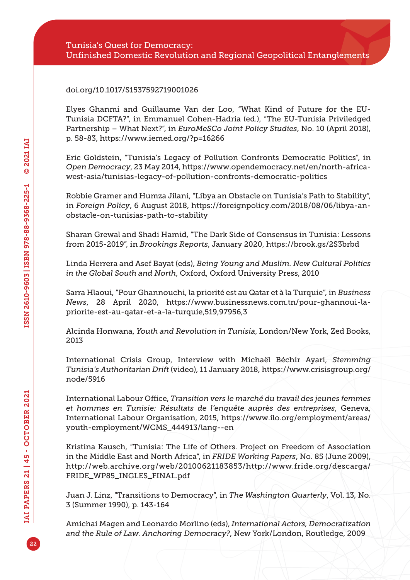#### [doi.org/10.1017/S1537592719001026](https://doi.org/10.1017/S1537592719001026)

Elyes Ghanmi and Guillaume Van der Loo, "What Kind of Future for the EU-Tunisia DCFTA?", in Emmanuel Cohen-Hadria (ed.), "The EU-Tunisia Priviledged Partnership – What Next?", in *EuroMeSCo Joint Policy Studies*, No. 10 (April 2018), p. 58-83,<https://www.iemed.org/?p=16266>

Eric Goldstein, "Tunisia's Legacy of Pollution Confronts Democratic Politics", in *Open Democracy*, 23 May 2014, [https://www.opendemocracy.net/en/north-africa](https://www.opendemocracy.net/en/north-africa-west-asia/tunisias-legacy-of-pollution-confronts-democratic-politics)[west-asia/tunisias-legacy-of-pollution-confronts-democratic-politics](https://www.opendemocracy.net/en/north-africa-west-asia/tunisias-legacy-of-pollution-confronts-democratic-politics)

Robbie Gramer and Humza Jilani, "Libya an Obstacle on Tunisia's Path to Stability", in *Foreign Policy*, 6 August 2018, [https://foreignpolicy.com/2018/08/06/libya-an](https://foreignpolicy.com/2018/08/06/libya-an-obstacle-on-tunisias-path-to-stability)[obstacle-on-tunisias-path-to-stability](https://foreignpolicy.com/2018/08/06/libya-an-obstacle-on-tunisias-path-to-stability)

Sharan Grewal and Shadi Hamid, "The Dark Side of Consensus in Tunisia: Lessons from 2015-2019", in *Brookings Reports*, January 2020, <https://brook.gs/2S3brbd>

Linda Herrera and Asef Bayat (eds), *Being Young and Muslim. New Cultural Politics in the Global South and North*, Oxford, Oxford University Press, 2010

Sarra Hlaoui, "Pour Ghannouchi, la priorité est au Qatar et à la Turquie", in *Business News*, 28 April 2020, [https://www.businessnews.com.tn/pour-ghannoui-la](https://www.businessnews.com.tn/pour-ghannoui-la-priorite-est-au-qatar-et-a-la-turquie,519,97956,3)[priorite-est-au-qatar-et-a-la-turquie,519,97956,3](https://www.businessnews.com.tn/pour-ghannoui-la-priorite-est-au-qatar-et-a-la-turquie,519,97956,3)

Alcinda Honwana, *Youth and Revolution in Tunisia*, London/New York, Zed Books, 2013

International Crisis Group, Interview with Michaël Béchir Ayari, *Stemming Tunisia's Authoritarian Drift* (video), 11 January 2018, [https://www.crisisgroup.org/](https://www.crisisgroup.org/node/5916) [node/5916](https://www.crisisgroup.org/node/5916)

International Labour Office, *Transition vers le marché du travail des jeunes femmes et hommes en Tunisie: Résultats de l'enquête auprès des entreprises*, Geneva, International Labour Organisation, 2015, [https://www.ilo.org/employment/areas/](https://www.ilo.org/employment/areas/youth-employment/WCMS_444913/lang--en) [youth-employment/WCMS\\_444913/lang--en](https://www.ilo.org/employment/areas/youth-employment/WCMS_444913/lang--en)

Kristina Kausch, "Tunisia: The Life of Others. Project on Freedom of Association in the Middle East and North Africa", in *FRIDE Working Papers*, No. 85 (June 2009), [http://web.archive.org/web/20100621183853/http://www.fride.org/descarga/](http://web.archive.org/web/20100621183853/http://www.fride.org/descarga/FRIDE_WP85_INGLES_FINAL.pdf) [FRIDE\\_WP85\\_INGLES\\_FINAL.pdf](http://web.archive.org/web/20100621183853/http://www.fride.org/descarga/FRIDE_WP85_INGLES_FINAL.pdf)

Juan J. Linz, "Transitions to Democracy", in *The Washington Quarterly*, Vol. 13, No. 3 (Summer 1990), p. 143-164

Amichai Magen and Leonardo Morlino (eds), *International Actors, Democratization and the Rule of Law. Anchoring Democracy?*, New York/London, Routledge, 2009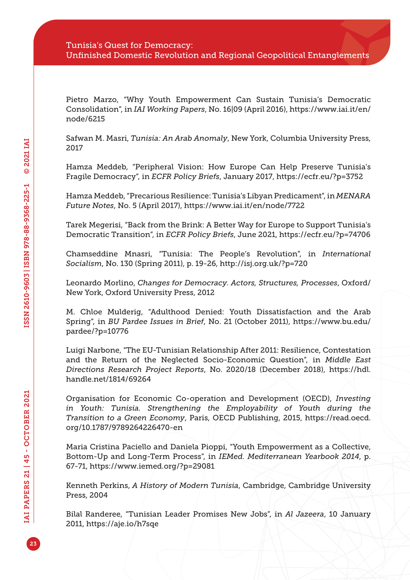Pietro Marzo, "Why Youth Empowerment Can Sustain Tunisia's Democratic Consolidation", in *IAI Working Papers*, No. 16|09 (April 2016), [https://www.iai.it/en/](https://www.iai.it/en/node/6215) [node/6215](https://www.iai.it/en/node/6215)

Safwan M. Masri, *Tunisia: An Arab Anomaly*, New York, Columbia University Press, 2017

Hamza Meddeb, "Peripheral Vision: How Europe Can Help Preserve Tunisia's Fragile Democracy", in *ECFR Policy Briefs*, January 2017,<https://ecfr.eu/?p=3752>

Hamza Meddeb, "Precarious Resilience: Tunisia's Libyan Predicament", in *MENARA Future Notes*, No. 5 (April 2017),<https://www.iai.it/en/node/7722>

Tarek Megerisi, "Back from the Brink: A Better Way for Europe to Support Tunisia's Democratic Transition", in *ECFR Policy Briefs*, June 2021, <https://ecfr.eu/?p=74706>

Chamseddine Mnasri, "Tunisia: The People's Revolution", in *International Socialism*, No. 130 (Spring 2011), p. 19-26,<http://isj.org.uk/?p=720>

Leonardo Morlino, *Changes for Democracy. Actors, Structures, Processes*, Oxford/ New York, Oxford University Press, 2012

M. Chloe Mulderig, "Adulthood Denied: Youth Dissatisfaction and the Arab Spring", in *BU Pardee Issues in Brief*, No. 21 (October 2011), [https://www.bu.edu/](https://www.bu.edu/pardee/?p=10776) [pardee/?p=10776](https://www.bu.edu/pardee/?p=10776)

Luigi Narbone, "The EU-Tunisian Relationship After 2011: Resilience, Contestation and the Return of the Neglected Socio-Economic Question", in *Middle East Directions Research Project Reports*, No. 2020/18 (December 2018), [https://hdl.](https://hdl.handle.net/1814/69264) [handle.net/1814/69264](https://hdl.handle.net/1814/69264)

Organisation for Economic Co-operation and Development (OECD), *Investing in Youth: Tunisia. Strengthening the Employability of Youth during the Transition to a Green Economy*, Paris, OECD Publishing, 2015, [https://read.oecd.](https://read.oecd.org/10.1787/9789264226470-en) [org/10.1787/9789264226470](https://read.oecd.org/10.1787/9789264226470-en)-en

Maria Cristina Paciello and Daniela Pioppi, "Youth Empowerment as a Collective, Bottom-Up and Long-Term Process", in *IEMed. Mediterranean Yearbook 2014*, p. 67-71,<https://www.iemed.org/?p=29081>

Kenneth Perkins, *A History of Modern Tunisia*, Cambridge, Cambridge University Press, 2004

Bilal Randeree, "Tunisian Leader Promises New Jobs", in *Al Jazeera*, 10 January 2011,<https://aje.io/h7sqe>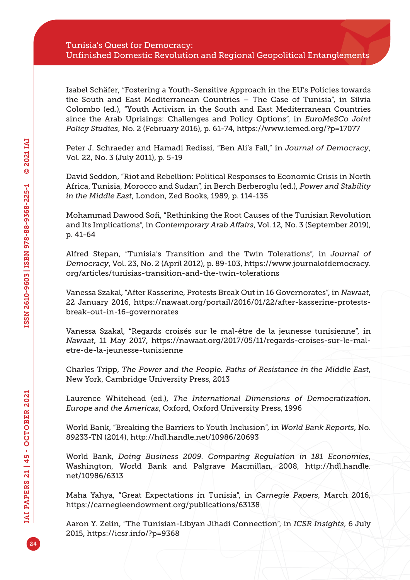Isabel Schäfer, "Fostering a Youth-Sensitive Approach in the EU's Policies towards the South and East Mediterranean Countries – The Case of Tunisia", in Silvia Colombo (ed.), "Youth Activism in the South and East Mediterranean Countries since the Arab Uprisings: Challenges and Policy Options", in *EuroMeSCo Joint Policy Studies*, No. 2 (February 2016), p. 61-74, <https://www.iemed.org/?p=17077>

Peter J. Schraeder and Hamadi Redissi, "Ben Ali's Fall," in *Journal of Democracy*, Vol. 22, No. 3 (July 2011), p. 5-19

David Seddon, "Riot and Rebellion: Political Responses to Economic Crisis in North Africa, Tunisia, Morocco and Sudan", in Berch Berberoglu (ed.), *Power and Stability in the Middle East*, London, Zed Books, 1989, p. 114-135

Mohammad Dawood Sofi, "Rethinking the Root Causes of the Tunisian Revolution and Its Implications", in *Contemporary Arab Affairs*, Vol. 12, No. 3 (September 2019), p. 41-64

Alfred Stepan, "Tunisia's Transition and the Twin Tolerations", in *Journal of Democracy*, Vol. 23, No. 2 (April 2012), p. 89-103, [https://www.journalofdemocracy.](https://www.journalofdemocracy.org/articles/tunisias-transition-and-the-twin-tolerations) [org/articles/tunisias-transition-and-the-twin-tolerations](https://www.journalofdemocracy.org/articles/tunisias-transition-and-the-twin-tolerations)

Vanessa Szakal, "After Kasserine, Protests Break Out in 16 Governorates", in *Nawaat*, 22 January 2016, [https://nawaat.org/portail/2016/01/22/after-kasserine-protests](https://nawaat.org/portail/2016/01/22/after-kasserine-protests-break-out-in-16-governorates)[break-out-in-16-governorates](https://nawaat.org/portail/2016/01/22/after-kasserine-protests-break-out-in-16-governorates)

Vanessa Szakal, "Regards croisés sur le mal-être de la jeunesse tunisienne", in *Nawaat*, 11 May 2017, [https://nawaat.org/2017/05/11/regards-croises-sur-le-mal](https://nawaat.org/2017/05/11/regards-croises-sur-le-mal-etre-de-la-jeunesse-tunisienne)[etre-de-la-jeunesse-tunisienne](https://nawaat.org/2017/05/11/regards-croises-sur-le-mal-etre-de-la-jeunesse-tunisienne)

Charles Tripp, *The Power and the People. Paths of Resistance in the Middle East*, New York, Cambridge University Press, 2013

Laurence Whitehead (ed.), *The International Dimensions of Democratization. Europe and the Americas*, Oxford, Oxford University Press, 1996

World Bank, "Breaking the Barriers to Youth Inclusion", in *World Bank Reports*, No. 89233-TN (2014),<http://hdl.handle.net/10986/20693>

World Bank, *Doing Business 2009. Comparing Regulation in 181 Economies*, Washington, World Bank and Palgrave Macmillan, 2008, [http://hdl.handle.](http://hdl.handle.net/10986/6313) [net/10986/6313](http://hdl.handle.net/10986/6313)

Maha Yahya, "Great Expectations in Tunisia", in *Carnegie Papers*, March 2016, <https://carnegieendowment.org/publications/63138>

Aaron Y. Zelin, "The Tunisian-Libyan Jihadi Connection", in *ICSR Insights*, 6 July 2015,<https://icsr.info/?p=9368>